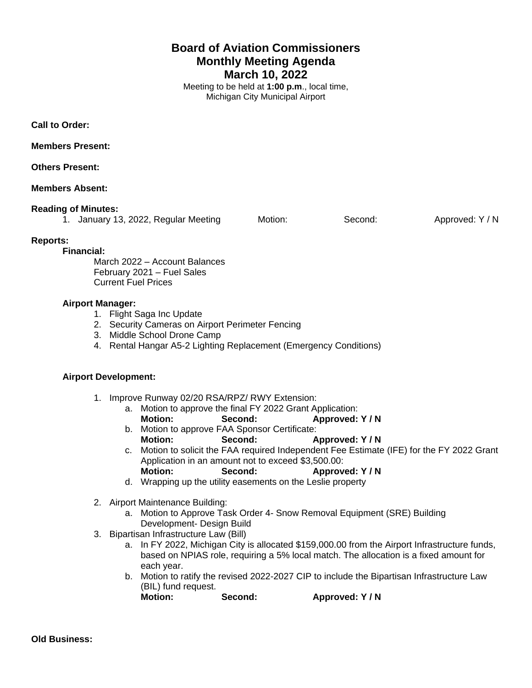# **Board of Aviation Commissioners Monthly Meeting Agenda March 10, 2022**

Meeting to be held at **1:00 p.m**., local time, Michigan City Municipal Airport

**Call to Order:**

**Members Present:**

**Others Present:**

## **Members Absent:**

#### **Reading of Minutes:**

|  | 1. January 13, 2022, Regular Meeting | Motion: | Second: | Approved: Y / N |
|--|--------------------------------------|---------|---------|-----------------|

## **Reports:**

**Financial:**

March 2022 – Account Balances February 2021 – Fuel Sales Current Fuel Prices

## **Airport Manager:**

- 1. Flight Saga Inc Update
- 2. Security Cameras on Airport Perimeter Fencing
- 3. Middle School Drone Camp
- 4. Rental Hangar A5-2 Lighting Replacement (Emergency Conditions)

## **Airport Development:**

- 1. Improve Runway 02/20 RSA/RPZ/ RWY Extension:
	- a. Motion to approve the final FY 2022 Grant Application: **Motion: Second: Approved: Y / N**
	- b. Motion to approve FAA Sponsor Certificate: **Motion: Second: Approved: Y / N**
	- c. Motion to solicit the FAA required Independent Fee Estimate (IFE) for the FY 2022 Grant Application in an amount not to exceed \$3,500.00:
	- **Motion: Second: Approved: Y / N**
	- d. Wrapping up the utility easements on the Leslie property
- 2. Airport Maintenance Building:
	- a. Motion to Approve Task Order 4- Snow Removal Equipment (SRE) Building Development- Design Build
- 3. Bipartisan Infrastructure Law (Bill)
	- a. In FY 2022, Michigan City is allocated \$159,000.00 from the Airport Infrastructure funds, based on NPIAS role, requiring a 5% local match. The allocation is a fixed amount for each year.
	- b. Motion to ratify the revised 2022-2027 CIP to include the Bipartisan Infrastructure Law (BIL) fund request.<br>Motion:

Second: **Approved: Y/N**